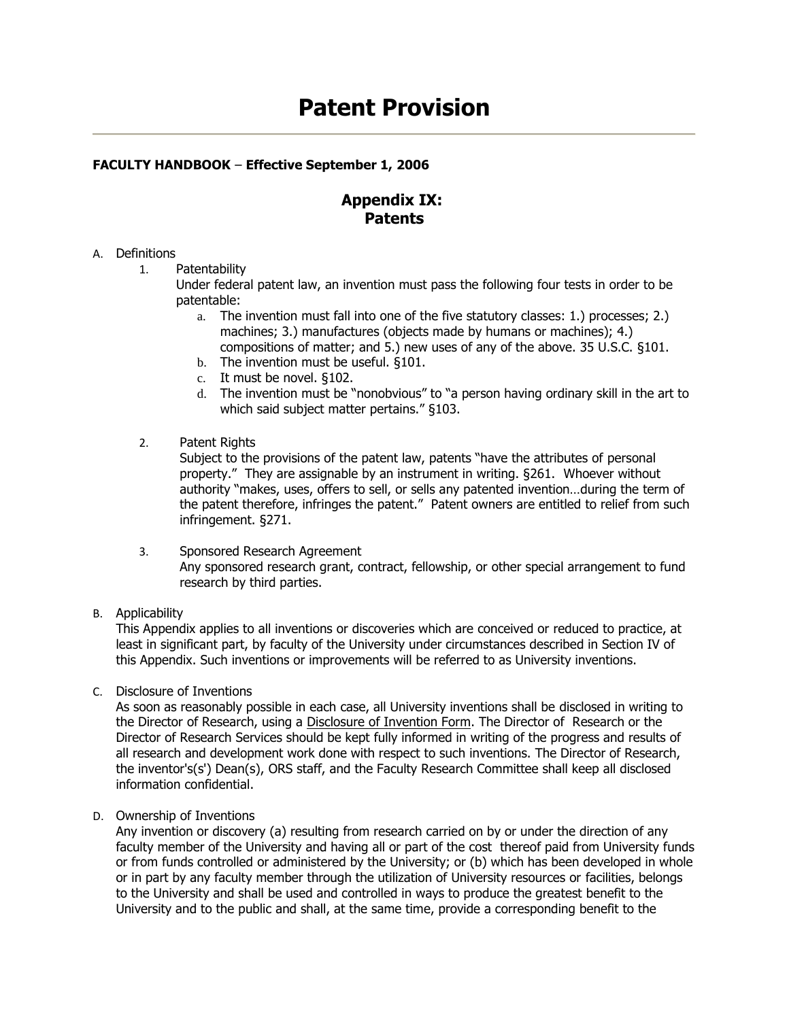# **Patent Provision**

## **FACULTY HANDBOOK** – **Effective September 1, 2006**

## **Appendix IX: Patents**

### A. Definitions

1. Patentability

Under federal patent law, an invention must pass the following four tests in order to be patentable:

- a. The invention must fall into one of the five statutory classes: 1.) processes; 2.) machines; 3.) manufactures (objects made by humans or machines); 4.) compositions of matter; and 5.) new uses of any of the above. 35 U.S.C. §101.
- b. The invention must be useful. §101.
- c. It must be novel. §102.
- d. The invention must be "nonobvious" to "a person having ordinary skill in the art to which said subject matter pertains." §103.
- 2. Patent Rights

Subject to the provisions of the patent law, patents "have the attributes of personal property." They are assignable by an instrument in writing. §261. Whoever without authority "makes, uses, offers to sell, or sells any patented invention…during the term of the patent therefore, infringes the patent." Patent owners are entitled to relief from such infringement. §271.

- 3. Sponsored Research Agreement Any sponsored research grant, contract, fellowship, or other special arrangement to fund research by third parties.
- B. Applicability

This Appendix applies to all inventions or discoveries which are conceived or reduced to practice, at least in significant part, by faculty of the University under circumstances described in Section IV of this Appendix. Such inventions or improvements will be referred to as University inventions.

C. Disclosure of Inventions

As soon as reasonably possible in each case, all University inventions shall be disclosed in writing to the Director of Research, using a [Disclosure of Invention Form.](http://academic.scranton.edu/department/ors/invtform.doc) The Director of Research or the Director of Research Services should be kept fully informed in writing of the progress and results of all research and development work done with respect to such inventions. The Director of Research, the inventor's(s') Dean(s), ORS staff, and the Faculty Research Committee shall keep all disclosed information confidential.

D. Ownership of Inventions

Any invention or discovery (a) resulting from research carried on by or under the direction of any faculty member of the University and having all or part of the cost thereof paid from University funds or from funds controlled or administered by the University; or (b) which has been developed in whole or in part by any faculty member through the utilization of University resources or facilities, belongs to the University and shall be used and controlled in ways to produce the greatest benefit to the University and to the public and shall, at the same time, provide a corresponding benefit to the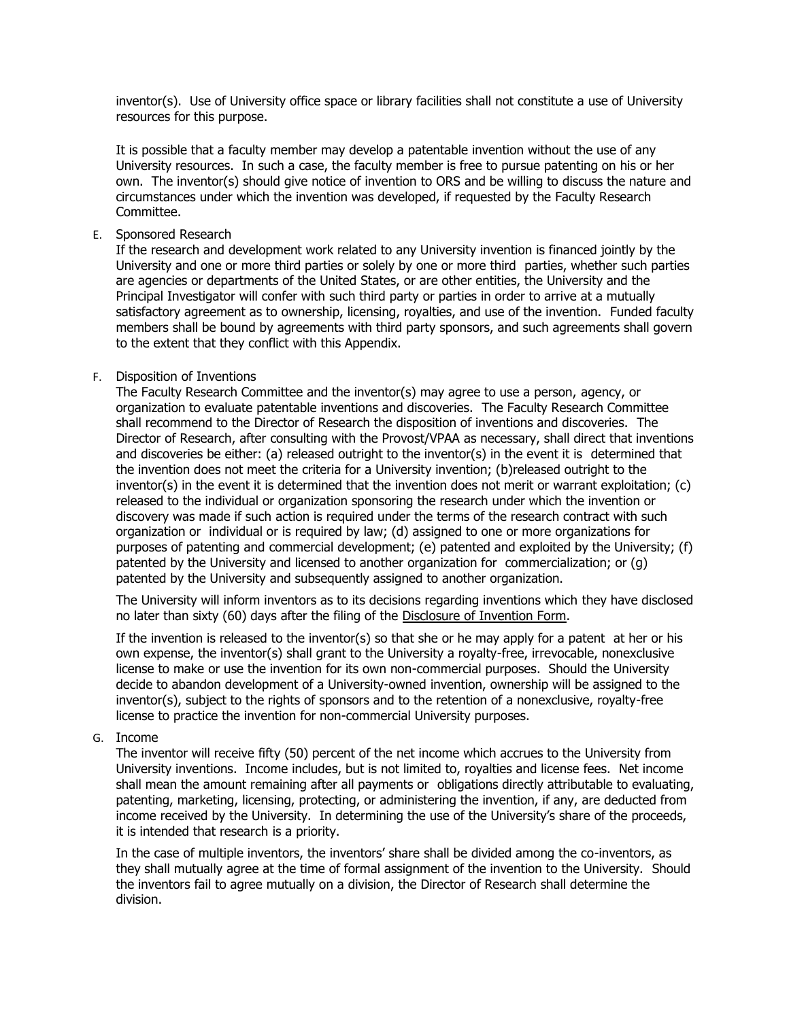inventor(s). Use of University office space or library facilities shall not constitute a use of University resources for this purpose.

It is possible that a faculty member may develop a patentable invention without the use of any University resources. In such a case, the faculty member is free to pursue patenting on his or her own. The inventor(s) should give notice of invention to ORS and be willing to discuss the nature and circumstances under which the invention was developed, if requested by the Faculty Research Committee.

E. Sponsored Research

If the research and development work related to any University invention is financed jointly by the University and one or more third parties or solely by one or more third parties, whether such parties are agencies or departments of the United States, or are other entities, the University and the Principal Investigator will confer with such third party or parties in order to arrive at a mutually satisfactory agreement as to ownership, licensing, royalties, and use of the invention. Funded faculty members shall be bound by agreements with third party sponsors, and such agreements shall govern to the extent that they conflict with this Appendix.

### F. Disposition of Inventions

The Faculty Research Committee and the inventor(s) may agree to use a person, agency, or organization to evaluate patentable inventions and discoveries. The Faculty Research Committee shall recommend to the Director of Research the disposition of inventions and discoveries. The Director of Research, after consulting with the Provost/VPAA as necessary, shall direct that inventions and discoveries be either: (a) released outright to the inventor(s) in the event it is determined that the invention does not meet the criteria for a University invention; (b)released outright to the inventor(s) in the event it is determined that the invention does not merit or warrant exploitation; (c) released to the individual or organization sponsoring the research under which the invention or discovery was made if such action is required under the terms of the research contract with such organization or individual or is required by law; (d) assigned to one or more organizations for purposes of patenting and commercial development; (e) patented and exploited by the University; (f) patented by the University and licensed to another organization for commercialization; or (g) patented by the University and subsequently assigned to another organization.

The University will inform inventors as to its decisions regarding inventions which they have disclosed no later than sixty (60) days after the filing of the Disclosure of [Invention Form.](http://academic.scranton.edu/department/ors/invtform.doc)

If the invention is released to the inventor(s) so that she or he may apply for a patent at her or his own expense, the inventor(s) shall grant to the University a royalty-free, irrevocable, nonexclusive license to make or use the invention for its own non-commercial purposes. Should the University decide to abandon development of a University-owned invention, ownership will be assigned to the inventor(s), subject to the rights of sponsors and to the retention of a nonexclusive, royalty-free license to practice the invention for non-commercial University purposes.

G. Income

The inventor will receive fifty (50) percent of the net income which accrues to the University from University inventions. Income includes, but is not limited to, royalties and license fees. Net income shall mean the amount remaining after all payments or obligations directly attributable to evaluating, patenting, marketing, licensing, protecting, or administering the invention, if any, are deducted from income received by the University. In determining the use of the University's share of the proceeds, it is intended that research is a priority.

In the case of multiple inventors, the inventors' share shall be divided among the co-inventors, as they shall mutually agree at the time of formal assignment of the invention to the University. Should the inventors fail to agree mutually on a division, the Director of Research shall determine the division.